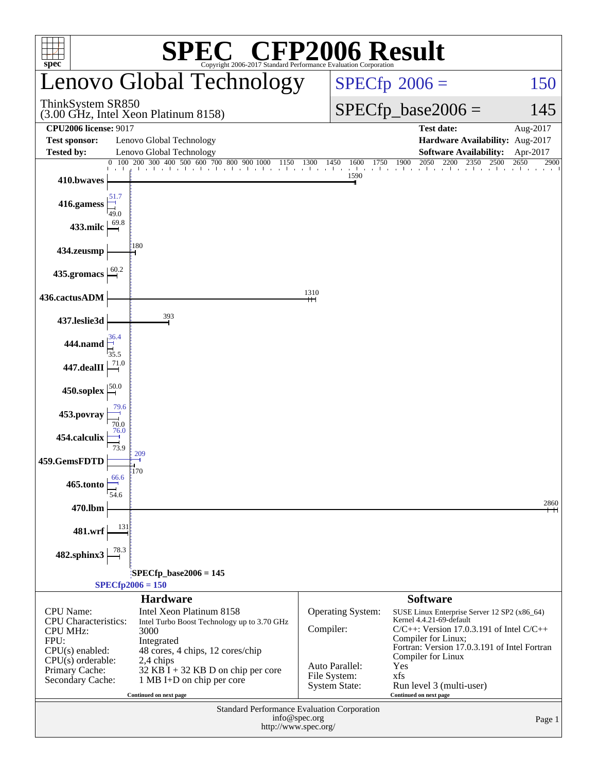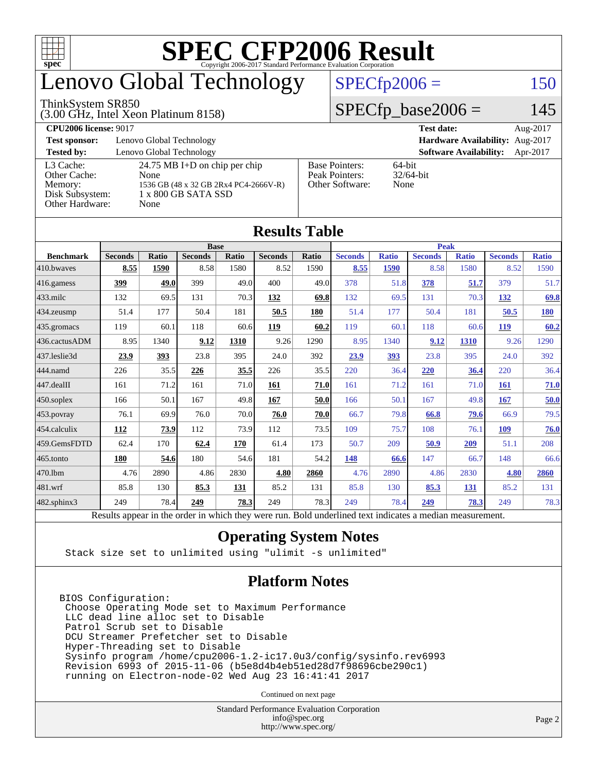

# enovo Global Technology

#### ThinkSystem SR850

(3.00 GHz, Intel Xeon Platinum 8158)

 $SPECfp2006 = 150$  $SPECfp2006 = 150$ 

#### $SPECfp\_base2006 = 145$

| <b>CPU2006 license: 9017</b> |                                         |                       | <b>Test date:</b><br>Aug-2017             |
|------------------------------|-----------------------------------------|-----------------------|-------------------------------------------|
| <b>Test sponsor:</b>         | Lenovo Global Technology                |                       | Hardware Availability: Aug-2017           |
| <b>Tested by:</b>            | Lenovo Global Technology                |                       | <b>Software Availability:</b><br>Apr-2017 |
| L3 Cache:                    | $24.75 \text{ MB I+D}$ on chip per chip | <b>Base Pointers:</b> | $64$ -bit                                 |
| Other Cache:                 | None                                    | Peak Pointers:        | $32/64$ -bit                              |
| Memory:                      | 1536 GB (48 x 32 GB 2Rx4 PC4-2666V-R)   | Other Software:       | None                                      |
| Disk Subsystem:              | $1 \times 800$ GB SATA SSD              |                       |                                           |
| Other Hardware:              | None                                    |                       |                                           |

**[Results Table](http://www.spec.org/auto/cpu2006/Docs/result-fields.html#ResultsTable)**

| Results Table     |                                                                                                          |              |                |       |                |       |                |              |                |              |                |              |
|-------------------|----------------------------------------------------------------------------------------------------------|--------------|----------------|-------|----------------|-------|----------------|--------------|----------------|--------------|----------------|--------------|
|                   | <b>Base</b>                                                                                              |              |                |       | <b>Peak</b>    |       |                |              |                |              |                |              |
| <b>Benchmark</b>  | <b>Seconds</b>                                                                                           | <b>Ratio</b> | <b>Seconds</b> | Ratio | <b>Seconds</b> | Ratio | <b>Seconds</b> | <b>Ratio</b> | <b>Seconds</b> | <b>Ratio</b> | <b>Seconds</b> | <b>Ratio</b> |
| 410.bwayes        | 8.55                                                                                                     | 1590         | 8.58           | 1580  | 8.52           | 1590  | 8.55           | 1590         | 8.58           | 1580         | 8.52           | 1590         |
| 416.gamess        | 399                                                                                                      | 49.0         | 399            | 49.0  | 400            | 49.0  | 378            | 51.8         | 378            | 51.7         | 379            | 51.7         |
| $433$ .milc       | 132                                                                                                      | 69.5         | 131            | 70.3  | 132            | 69.8  | 132            | 69.5         | 131            | 70.3         | 132            | 69.8         |
| $434$ . zeusmp    | 51.4                                                                                                     | 177          | 50.4           | 181   | 50.5           | 180   | 51.4           | 177          | 50.4           | 181          | 50.5           | 180          |
| $435.$ gromacs    | 119                                                                                                      | 60.1         | 118            | 60.6  | 119            | 60.2  | 119            | 60.1         | 118            | 60.6         | <u>119</u>     | 60.2         |
| 436.cactusADM     | 8.95                                                                                                     | 1340         | 9.12           | 1310  | 9.26           | 1290  | 8.95           | 1340         | 9.12           | 1310         | 9.26           | 1290         |
| 437.leslie3d      | 23.9                                                                                                     | 393          | 23.8           | 395   | 24.0           | 392   | 23.9           | 393          | 23.8           | 395          | 24.0           | 392          |
| 444.namd          | 226                                                                                                      | 35.5         | 226            | 35.5  | 226            | 35.5  | 220            | 36.4         | 220            | 36.4         | 220            | 36.4         |
| 447.dealII        | 161                                                                                                      | 71.2         | 161            | 71.0  | 161            | 71.0  | 161            | 71.2         | 161            | 71.0         | <b>161</b>     | 71.0         |
| 450.soplex        | 166                                                                                                      | 50.1         | 167            | 49.8  | 167            | 50.0  | 166            | 50.1         | 167            | 49.8         | 167            | 50.0         |
| 453.povray        | 76.1                                                                                                     | 69.9         | 76.0           | 70.0  | 76.0           | 70.0  | 66.7           | 79.8         | 66.8           | 79.6         | 66.9           | 79.5         |
| 454.calculix      | <b>112</b>                                                                                               | 73.9         | 112            | 73.9  | 112            | 73.5  | 109            | 75.7         | 108            | 76.1         | 109            | 76.0         |
| 459.GemsFDTD      | 62.4                                                                                                     | 170          | 62.4           | 170   | 61.4           | 173   | 50.7           | 209          | 50.9           | 209          | 51.1           | 208          |
| $465$ .tonto      | 180                                                                                                      | 54.6         | 180            | 54.6  | 181            | 54.2  | 148            | 66.6         | 147            | 66.7         | 148            | 66.6         |
| 470.1bm           | 4.76                                                                                                     | 2890         | 4.86           | 2830  | 4.80           | 2860  | 4.76           | 2890         | 4.86           | 2830         | 4.80           | 2860         |
| 481.wrf           | 85.8                                                                                                     | 130          | 85.3           | 131   | 85.2           | 131   | 85.8           | 130          | 85.3           | 131          | 85.2           | 131          |
| $482$ .sphinx $3$ | 249                                                                                                      | 78.4         | 249            | 78.3  | 249            | 78.3  | 249            | 78.4         | 249            | 78.3         | 249            | 78.3         |
|                   | Results appear in the order in which they were run. Bold underlined text indicates a median measurement. |              |                |       |                |       |                |              |                |              |                |              |

#### **[Operating System Notes](http://www.spec.org/auto/cpu2006/Docs/result-fields.html#OperatingSystemNotes)**

Stack size set to unlimited using "ulimit -s unlimited"

#### **[Platform Notes](http://www.spec.org/auto/cpu2006/Docs/result-fields.html#PlatformNotes)**

BIOS Configuration: Choose Operating Mode set to Maximum Performance LLC dead line alloc set to Disable Patrol Scrub set to Disable DCU Streamer Prefetcher set to Disable Hyper-Threading set to Disable Sysinfo program /home/cpu2006-1.2-ic17.0u3/config/sysinfo.rev6993 Revision 6993 of 2015-11-06 (b5e8d4b4eb51ed28d7f98696cbe290c1) running on Electron-node-02 Wed Aug 23 16:41:41 2017

Continued on next page

Standard Performance Evaluation Corporation [info@spec.org](mailto:info@spec.org) <http://www.spec.org/>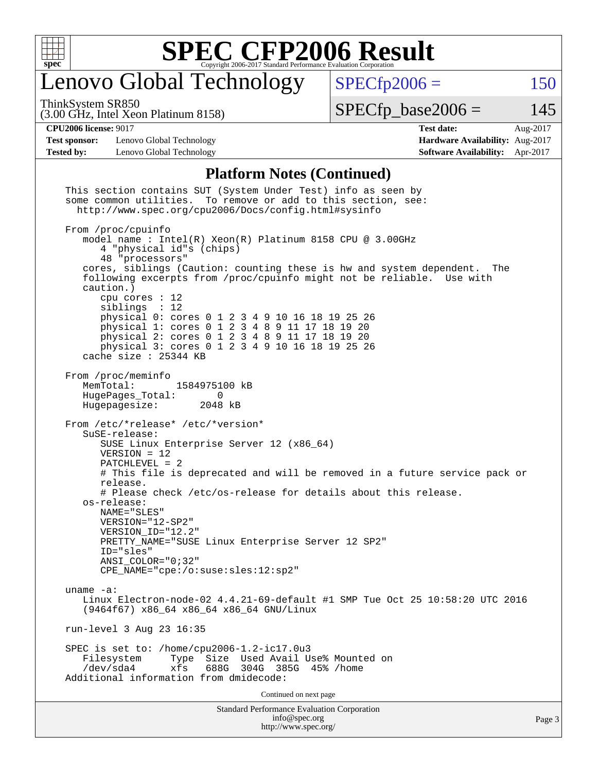

# Lenovo Global Technology

ThinkSystem SR850

(3.00 GHz, Intel Xeon Platinum 8158)

 $SPECfp2006 = 150$  $SPECfp2006 = 150$ 

 $SPECfp\_base2006 = 145$ 

#### **[CPU2006 license:](http://www.spec.org/auto/cpu2006/Docs/result-fields.html#CPU2006license)** 9017 **[Test date:](http://www.spec.org/auto/cpu2006/Docs/result-fields.html#Testdate)** Aug-2017

**[Test sponsor:](http://www.spec.org/auto/cpu2006/Docs/result-fields.html#Testsponsor)** Lenovo Global Technology **[Hardware Availability:](http://www.spec.org/auto/cpu2006/Docs/result-fields.html#HardwareAvailability)** Aug-2017 **[Tested by:](http://www.spec.org/auto/cpu2006/Docs/result-fields.html#Testedby)** Lenovo Global Technology **[Software Availability:](http://www.spec.org/auto/cpu2006/Docs/result-fields.html#SoftwareAvailability)** Apr-2017

#### **[Platform Notes \(Continued\)](http://www.spec.org/auto/cpu2006/Docs/result-fields.html#PlatformNotes)**

| <b>Standard Performance Evaluation Corporation</b><br>info@spec.org<br>http://www.spec.org/                                                                                                                                                                                                                                                                                                                                                                              | Page 3 |
|--------------------------------------------------------------------------------------------------------------------------------------------------------------------------------------------------------------------------------------------------------------------------------------------------------------------------------------------------------------------------------------------------------------------------------------------------------------------------|--------|
| Continued on next page                                                                                                                                                                                                                                                                                                                                                                                                                                                   |        |
| SPEC is set to: /home/cpu2006-1.2-ic17.0u3<br>Size Used Avail Use% Mounted on<br>Filesystem<br>Type<br>688G<br>/dev/sda4<br>xfs<br>304G 385G<br>$45%$ /home<br>Additional information from dmidecode:                                                                                                                                                                                                                                                                    |        |
| run-level 3 Aug 23 16:35                                                                                                                                                                                                                                                                                                                                                                                                                                                 |        |
| uname $-a$ :<br>Linux Electron-node-02 4.4.21-69-default #1 SMP Tue Oct 25 10:58:20 UTC 2016<br>(9464f67) x86_64 x86_64 x86_64 GNU/Linux                                                                                                                                                                                                                                                                                                                                 |        |
| $S$ uSE-release:<br>SUSE Linux Enterprise Server 12 (x86_64)<br>$VERSION = 12$<br>$PATCHLEVEL = 2$<br># This file is deprecated and will be removed in a future service pack or<br>release.<br># Please check /etc/os-release for details about this release.<br>os-release:<br>NAME="SLES"<br>VERSION="12-SP2"<br>VERSION ID="12.2"<br>PRETTY_NAME="SUSE Linux Enterprise Server 12 SP2"<br>ID="sles"<br>ANSI COLOR="0;32"<br>$CPE\_NAME = "cpe://o:suse: sles:12:sp2"$ |        |
| From /proc/meminfo<br>MemTotal:<br>1584975100 kB<br>HugePages_Total:<br>$\Omega$<br>Hugepagesize:<br>2048 kB<br>From /etc/*release* /etc/*version*                                                                                                                                                                                                                                                                                                                       |        |
| following excerpts from /proc/cpuinfo might not be reliable. Use with<br>caution.)<br>cpu cores $: 12$<br>siblings : 12<br>physical 0: cores 0 1 2 3 4 9 10 16 18 19 25 26<br>physical 1: cores 0 1 2 3 4 8 9 11 17 18 19 20<br>physical 2: cores 0 1 2 3 4 8 9 11 17 18 19 20<br>physical 3: cores 0 1 2 3 4 9 10 16 18 19 25 26<br>cache size : 25344 KB                                                                                                               |        |
| From /proc/cpuinfo<br>model name: $Intel(R)$ Xeon(R) Platinum 8158 CPU @ 3.00GHz<br>4 "physical id"s (chips)<br>48 "processors"<br>cores, siblings (Caution: counting these is hw and system dependent. The                                                                                                                                                                                                                                                              |        |
| This section contains SUT (System Under Test) info as seen by<br>some common utilities. To remove or add to this section, see:<br>http://www.spec.org/cpu2006/Docs/config.html#sysinfo                                                                                                                                                                                                                                                                                   |        |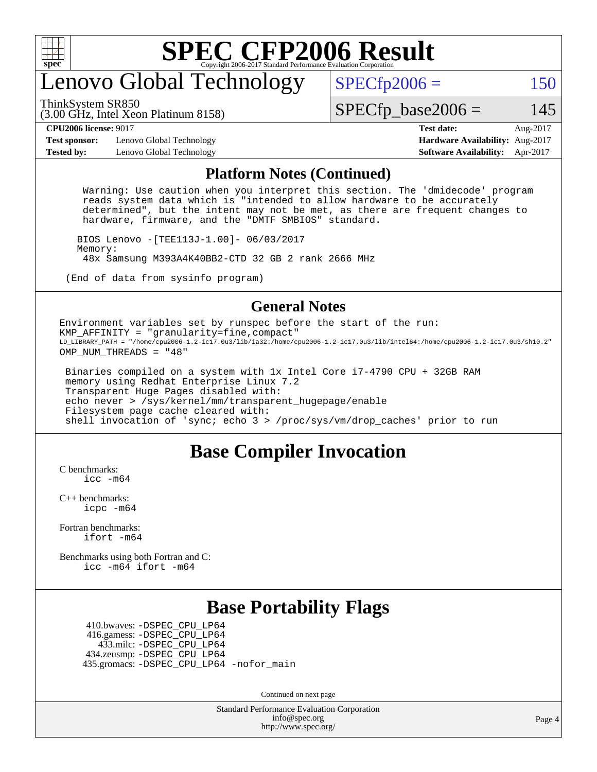

### enovo Global Technology

ThinkSystem SR850

 $SPECTp2006 = 150$ 

(3.00 GHz, Intel Xeon Platinum 8158)

 $SPECTp\_base2006 = 145$ 

**[Test sponsor:](http://www.spec.org/auto/cpu2006/Docs/result-fields.html#Testsponsor)** Lenovo Global Technology **[Hardware Availability:](http://www.spec.org/auto/cpu2006/Docs/result-fields.html#HardwareAvailability)** Aug-2017 **[Tested by:](http://www.spec.org/auto/cpu2006/Docs/result-fields.html#Testedby)** Lenovo Global Technology **[Software Availability:](http://www.spec.org/auto/cpu2006/Docs/result-fields.html#SoftwareAvailability)** Apr-2017

# **[CPU2006 license:](http://www.spec.org/auto/cpu2006/Docs/result-fields.html#CPU2006license)** 9017 **[Test date:](http://www.spec.org/auto/cpu2006/Docs/result-fields.html#Testdate)** Aug-2017

#### **[Platform Notes \(Continued\)](http://www.spec.org/auto/cpu2006/Docs/result-fields.html#PlatformNotes)**

 Warning: Use caution when you interpret this section. The 'dmidecode' program reads system data which is "intended to allow hardware to be accurately determined", but the intent may not be met, as there are frequent changes to hardware, firmware, and the "DMTF SMBIOS" standard.

 BIOS Lenovo -[TEE113J-1.00]- 06/03/2017 Memory: 48x Samsung M393A4K40BB2-CTD 32 GB 2 rank 2666 MHz

(End of data from sysinfo program)

#### **[General Notes](http://www.spec.org/auto/cpu2006/Docs/result-fields.html#GeneralNotes)**

Environment variables set by runspec before the start of the run: KMP\_AFFINITY = "granularity=fine,compact" LD\_LIBRARY\_PATH = "/home/cpu2006-1.2-ic17.0u3/lib/ia32:/home/cpu2006-1.2-ic17.0u3/lib/intel64:/home/cpu2006-1.2-ic17.0u3/sh10.2" OMP NUM THREADS = "48"

 Binaries compiled on a system with 1x Intel Core i7-4790 CPU + 32GB RAM memory using Redhat Enterprise Linux 7.2 Transparent Huge Pages disabled with: echo never > /sys/kernel/mm/transparent\_hugepage/enable Filesystem page cache cleared with: shell invocation of 'sync; echo 3 > /proc/sys/vm/drop\_caches' prior to run

#### **[Base Compiler Invocation](http://www.spec.org/auto/cpu2006/Docs/result-fields.html#BaseCompilerInvocation)**

[C benchmarks](http://www.spec.org/auto/cpu2006/Docs/result-fields.html#Cbenchmarks): [icc -m64](http://www.spec.org/cpu2006/results/res2017q4/cpu2006-20170918-49958.flags.html#user_CCbase_intel_icc_64bit_bda6cc9af1fdbb0edc3795bac97ada53)

[C++ benchmarks:](http://www.spec.org/auto/cpu2006/Docs/result-fields.html#CXXbenchmarks) [icpc -m64](http://www.spec.org/cpu2006/results/res2017q4/cpu2006-20170918-49958.flags.html#user_CXXbase_intel_icpc_64bit_fc66a5337ce925472a5c54ad6a0de310)

[Fortran benchmarks](http://www.spec.org/auto/cpu2006/Docs/result-fields.html#Fortranbenchmarks): [ifort -m64](http://www.spec.org/cpu2006/results/res2017q4/cpu2006-20170918-49958.flags.html#user_FCbase_intel_ifort_64bit_ee9d0fb25645d0210d97eb0527dcc06e)

[Benchmarks using both Fortran and C](http://www.spec.org/auto/cpu2006/Docs/result-fields.html#BenchmarksusingbothFortranandC): [icc -m64](http://www.spec.org/cpu2006/results/res2017q4/cpu2006-20170918-49958.flags.html#user_CC_FCbase_intel_icc_64bit_bda6cc9af1fdbb0edc3795bac97ada53) [ifort -m64](http://www.spec.org/cpu2006/results/res2017q4/cpu2006-20170918-49958.flags.html#user_CC_FCbase_intel_ifort_64bit_ee9d0fb25645d0210d97eb0527dcc06e)

### **[Base Portability Flags](http://www.spec.org/auto/cpu2006/Docs/result-fields.html#BasePortabilityFlags)**

 410.bwaves: [-DSPEC\\_CPU\\_LP64](http://www.spec.org/cpu2006/results/res2017q4/cpu2006-20170918-49958.flags.html#suite_basePORTABILITY410_bwaves_DSPEC_CPU_LP64) 416.gamess: [-DSPEC\\_CPU\\_LP64](http://www.spec.org/cpu2006/results/res2017q4/cpu2006-20170918-49958.flags.html#suite_basePORTABILITY416_gamess_DSPEC_CPU_LP64) 433.milc: [-DSPEC\\_CPU\\_LP64](http://www.spec.org/cpu2006/results/res2017q4/cpu2006-20170918-49958.flags.html#suite_basePORTABILITY433_milc_DSPEC_CPU_LP64) 434.zeusmp: [-DSPEC\\_CPU\\_LP64](http://www.spec.org/cpu2006/results/res2017q4/cpu2006-20170918-49958.flags.html#suite_basePORTABILITY434_zeusmp_DSPEC_CPU_LP64) 435.gromacs: [-DSPEC\\_CPU\\_LP64](http://www.spec.org/cpu2006/results/res2017q4/cpu2006-20170918-49958.flags.html#suite_basePORTABILITY435_gromacs_DSPEC_CPU_LP64) [-nofor\\_main](http://www.spec.org/cpu2006/results/res2017q4/cpu2006-20170918-49958.flags.html#user_baseLDPORTABILITY435_gromacs_f-nofor_main)

Continued on next page

Standard Performance Evaluation Corporation [info@spec.org](mailto:info@spec.org) <http://www.spec.org/>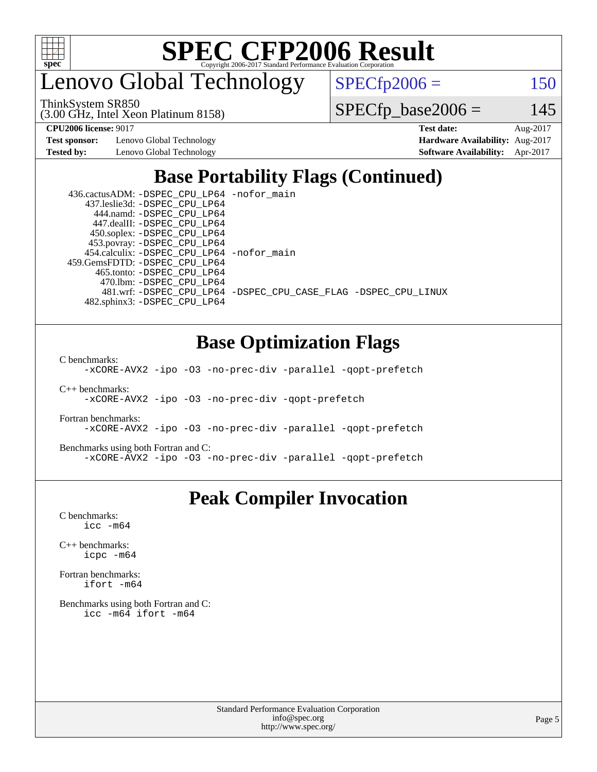

enovo Global Technology

ThinkSystem SR850

 $SPECfp2006 = 150$  $SPECfp2006 = 150$ 

(3.00 GHz, Intel Xeon Platinum 8158)

 $SPECfp\_base2006 = 145$ 

**[Test sponsor:](http://www.spec.org/auto/cpu2006/Docs/result-fields.html#Testsponsor)** Lenovo Global Technology **[Hardware Availability:](http://www.spec.org/auto/cpu2006/Docs/result-fields.html#HardwareAvailability)** Aug-2017

**[CPU2006 license:](http://www.spec.org/auto/cpu2006/Docs/result-fields.html#CPU2006license)** 9017 **[Test date:](http://www.spec.org/auto/cpu2006/Docs/result-fields.html#Testdate)** Aug-2017 **[Tested by:](http://www.spec.org/auto/cpu2006/Docs/result-fields.html#Testedby)** Lenovo Global Technology **[Software Availability:](http://www.spec.org/auto/cpu2006/Docs/result-fields.html#SoftwareAvailability)** Apr-2017

### **[Base Portability Flags \(Continued\)](http://www.spec.org/auto/cpu2006/Docs/result-fields.html#BasePortabilityFlags)**

| 436.cactusADM: - DSPEC CPU LP64 - nofor main |                                                                |
|----------------------------------------------|----------------------------------------------------------------|
| 437.leslie3d: -DSPEC CPU LP64                |                                                                |
| 444.namd: -DSPEC CPU LP64                    |                                                                |
| 447.dealII: -DSPEC CPU LP64                  |                                                                |
| 450.soplex: -DSPEC_CPU_LP64                  |                                                                |
| 453.povray: -DSPEC_CPU_LP64                  |                                                                |
| 454.calculix: - DSPEC CPU LP64 - nofor main  |                                                                |
| 459. GemsFDTD: - DSPEC CPU LP64              |                                                                |
| 465.tonto: -DSPEC CPU LP64                   |                                                                |
| 470.1bm: - DSPEC CPU LP64                    |                                                                |
|                                              | 481.wrf: -DSPEC CPU_LP64 -DSPEC_CPU_CASE_FLAG -DSPEC_CPU_LINUX |
| 482.sphinx3: -DSPEC CPU LP64                 |                                                                |

### **[Base Optimization Flags](http://www.spec.org/auto/cpu2006/Docs/result-fields.html#BaseOptimizationFlags)**

[C benchmarks](http://www.spec.org/auto/cpu2006/Docs/result-fields.html#Cbenchmarks):

[-xCORE-AVX2](http://www.spec.org/cpu2006/results/res2017q4/cpu2006-20170918-49958.flags.html#user_CCbase_f-xCORE-AVX2) [-ipo](http://www.spec.org/cpu2006/results/res2017q4/cpu2006-20170918-49958.flags.html#user_CCbase_f-ipo) [-O3](http://www.spec.org/cpu2006/results/res2017q4/cpu2006-20170918-49958.flags.html#user_CCbase_f-O3) [-no-prec-div](http://www.spec.org/cpu2006/results/res2017q4/cpu2006-20170918-49958.flags.html#user_CCbase_f-no-prec-div) [-parallel](http://www.spec.org/cpu2006/results/res2017q4/cpu2006-20170918-49958.flags.html#user_CCbase_f-parallel) [-qopt-prefetch](http://www.spec.org/cpu2006/results/res2017q4/cpu2006-20170918-49958.flags.html#user_CCbase_f-qopt-prefetch)

[C++ benchmarks:](http://www.spec.org/auto/cpu2006/Docs/result-fields.html#CXXbenchmarks) [-xCORE-AVX2](http://www.spec.org/cpu2006/results/res2017q4/cpu2006-20170918-49958.flags.html#user_CXXbase_f-xCORE-AVX2) [-ipo](http://www.spec.org/cpu2006/results/res2017q4/cpu2006-20170918-49958.flags.html#user_CXXbase_f-ipo) [-O3](http://www.spec.org/cpu2006/results/res2017q4/cpu2006-20170918-49958.flags.html#user_CXXbase_f-O3) [-no-prec-div](http://www.spec.org/cpu2006/results/res2017q4/cpu2006-20170918-49958.flags.html#user_CXXbase_f-no-prec-div) [-qopt-prefetch](http://www.spec.org/cpu2006/results/res2017q4/cpu2006-20170918-49958.flags.html#user_CXXbase_f-qopt-prefetch)

[Fortran benchmarks](http://www.spec.org/auto/cpu2006/Docs/result-fields.html#Fortranbenchmarks): [-xCORE-AVX2](http://www.spec.org/cpu2006/results/res2017q4/cpu2006-20170918-49958.flags.html#user_FCbase_f-xCORE-AVX2) [-ipo](http://www.spec.org/cpu2006/results/res2017q4/cpu2006-20170918-49958.flags.html#user_FCbase_f-ipo) [-O3](http://www.spec.org/cpu2006/results/res2017q4/cpu2006-20170918-49958.flags.html#user_FCbase_f-O3) [-no-prec-div](http://www.spec.org/cpu2006/results/res2017q4/cpu2006-20170918-49958.flags.html#user_FCbase_f-no-prec-div) [-parallel](http://www.spec.org/cpu2006/results/res2017q4/cpu2006-20170918-49958.flags.html#user_FCbase_f-parallel) [-qopt-prefetch](http://www.spec.org/cpu2006/results/res2017q4/cpu2006-20170918-49958.flags.html#user_FCbase_f-qopt-prefetch)

[Benchmarks using both Fortran and C](http://www.spec.org/auto/cpu2006/Docs/result-fields.html#BenchmarksusingbothFortranandC): [-xCORE-AVX2](http://www.spec.org/cpu2006/results/res2017q4/cpu2006-20170918-49958.flags.html#user_CC_FCbase_f-xCORE-AVX2) [-ipo](http://www.spec.org/cpu2006/results/res2017q4/cpu2006-20170918-49958.flags.html#user_CC_FCbase_f-ipo) [-O3](http://www.spec.org/cpu2006/results/res2017q4/cpu2006-20170918-49958.flags.html#user_CC_FCbase_f-O3) [-no-prec-div](http://www.spec.org/cpu2006/results/res2017q4/cpu2006-20170918-49958.flags.html#user_CC_FCbase_f-no-prec-div) [-parallel](http://www.spec.org/cpu2006/results/res2017q4/cpu2006-20170918-49958.flags.html#user_CC_FCbase_f-parallel) [-qopt-prefetch](http://www.spec.org/cpu2006/results/res2017q4/cpu2006-20170918-49958.flags.html#user_CC_FCbase_f-qopt-prefetch)

### **[Peak Compiler Invocation](http://www.spec.org/auto/cpu2006/Docs/result-fields.html#PeakCompilerInvocation)**

[C benchmarks](http://www.spec.org/auto/cpu2006/Docs/result-fields.html#Cbenchmarks): [icc -m64](http://www.spec.org/cpu2006/results/res2017q4/cpu2006-20170918-49958.flags.html#user_CCpeak_intel_icc_64bit_bda6cc9af1fdbb0edc3795bac97ada53)

[C++ benchmarks:](http://www.spec.org/auto/cpu2006/Docs/result-fields.html#CXXbenchmarks) [icpc -m64](http://www.spec.org/cpu2006/results/res2017q4/cpu2006-20170918-49958.flags.html#user_CXXpeak_intel_icpc_64bit_fc66a5337ce925472a5c54ad6a0de310)

[Fortran benchmarks](http://www.spec.org/auto/cpu2006/Docs/result-fields.html#Fortranbenchmarks): [ifort -m64](http://www.spec.org/cpu2006/results/res2017q4/cpu2006-20170918-49958.flags.html#user_FCpeak_intel_ifort_64bit_ee9d0fb25645d0210d97eb0527dcc06e)

[Benchmarks using both Fortran and C](http://www.spec.org/auto/cpu2006/Docs/result-fields.html#BenchmarksusingbothFortranandC): [icc -m64](http://www.spec.org/cpu2006/results/res2017q4/cpu2006-20170918-49958.flags.html#user_CC_FCpeak_intel_icc_64bit_bda6cc9af1fdbb0edc3795bac97ada53) [ifort -m64](http://www.spec.org/cpu2006/results/res2017q4/cpu2006-20170918-49958.flags.html#user_CC_FCpeak_intel_ifort_64bit_ee9d0fb25645d0210d97eb0527dcc06e)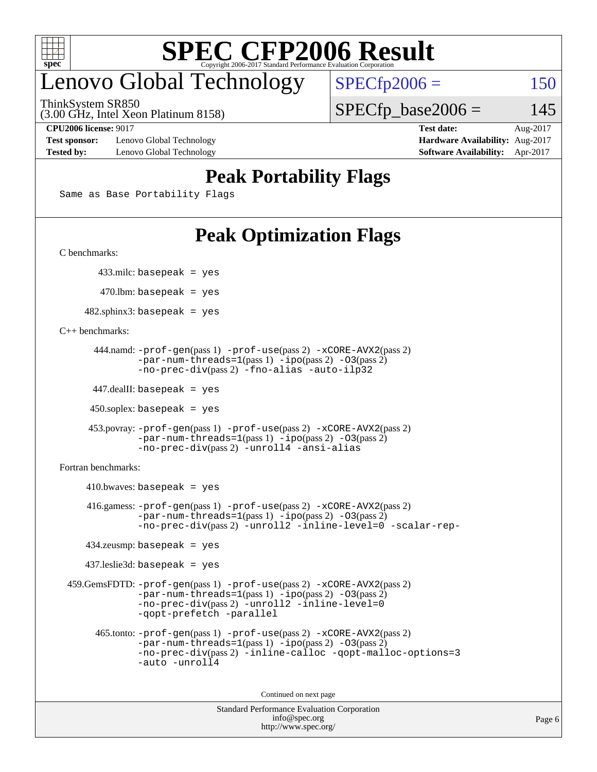

## enovo Global Technology

ThinkSystem SR850

 $SPECTp2006 = 150$ 

(3.00 GHz, Intel Xeon Platinum 8158)

**[Test sponsor:](http://www.spec.org/auto/cpu2006/Docs/result-fields.html#Testsponsor)** Lenovo Global Technology **[Hardware Availability:](http://www.spec.org/auto/cpu2006/Docs/result-fields.html#HardwareAvailability)** Aug-2017 **[Tested by:](http://www.spec.org/auto/cpu2006/Docs/result-fields.html#Testedby)** Lenovo Global Technology **[Software Availability:](http://www.spec.org/auto/cpu2006/Docs/result-fields.html#SoftwareAvailability)** Apr-2017

**[CPU2006 license:](http://www.spec.org/auto/cpu2006/Docs/result-fields.html#CPU2006license)** 9017 **[Test date:](http://www.spec.org/auto/cpu2006/Docs/result-fields.html#Testdate)** Aug-2017

 $SPECTp\_base2006 = 145$ 

### **[Peak Portability Flags](http://www.spec.org/auto/cpu2006/Docs/result-fields.html#PeakPortabilityFlags)**

Same as Base Portability Flags

### **[Peak Optimization Flags](http://www.spec.org/auto/cpu2006/Docs/result-fields.html#PeakOptimizationFlags)**

[C benchmarks](http://www.spec.org/auto/cpu2006/Docs/result-fields.html#Cbenchmarks):

433.milc: basepeak = yes

 $470$ .lbm: basepeak = yes

 $482$ .sphinx3: basepeak = yes

[C++ benchmarks:](http://www.spec.org/auto/cpu2006/Docs/result-fields.html#CXXbenchmarks)

```
 444.namd: -prof-gen(pass 1) -prof-use(pass 2) -xCORE-AVX2(pass 2)
       -par-num-threads=1(pass 1) -ipo(pass 2) -O3(pass 2)
       -no-prec-div(pass 2) -fno-alias -auto-ilp32
```
447.dealII: basepeak = yes

 $450$ .soplex: basepeak = yes

```
 453.povray: -prof-gen(pass 1) -prof-use(pass 2) -xCORE-AVX2(pass 2)
        -par-num-threads=1-ipo-O3(pass 2)-no-prec-div(pass 2) -unroll4 -ansi-alias
```
[Fortran benchmarks](http://www.spec.org/auto/cpu2006/Docs/result-fields.html#Fortranbenchmarks):

```
410.bwaves: basepeak = yes 416.gamess: -prof-gen(pass 1) -prof-use(pass 2) -xCORE-AVX2(pass 2)
           -par-num-threads=1-ipo-O3(pass 2)-no-prec-div(pass 2) -unroll2 -inline-level=0 -scalar-rep-
   434.zeusmp: basepeak = yes
   437.leslie3d: basepeak = yes
459.GemsFDTD: -prof-gen(pass 1) -prof-use(pass 2) -xCORE-AVX2(pass 2)
           -par-num-threads=1-ipo-O3(pass 2)-no-prec-div(pass 2) -unroll2 -inline-level=0
           -qopt-prefetch -parallel
     465.tonto: -prof-gen(pass 1) -prof-use(pass 2) -xCORE-AVX2(pass 2)
           -par-num-threads=1(pass 1) -ipo(pass 2) -O3(pass 2)
           -no-prec-div-inline-calloc-qopt-malloc-options=3
           -auto -unroll4
```
Continued on next page

```
Standard Performance Evaluation Corporation
            info@spec.org
          http://www.spec.org/
```